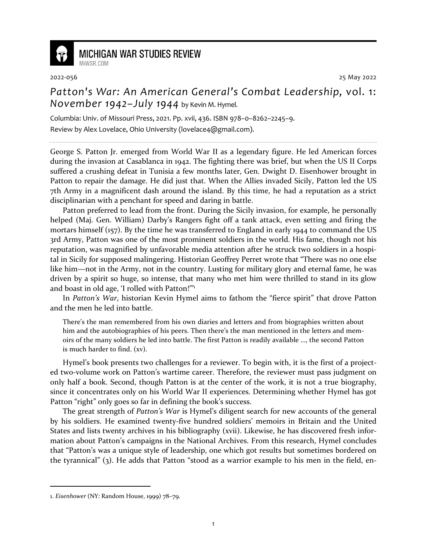

## **MICHIGAN WAR STUDIES REVIEW**

MiWSR COM

2022-056 25 May 2022

## *Patton's War: An American General's Combat Leadership,* vol. 1: *November 1942–July 1944* by Kevin M. Hymel.

Columbia: Univ. of Missouri Press, 2021. Pp. xvii, 436. ISBN 978–0–8262–2245–9. Review by Alex Lovelace, Ohio University (lovelace4@gmail.com).

George S. Patton Jr. emerged from World War II as a legendary figure. He led American forces during the invasion at Casablanca in 1942. The fighting there was brief, but when the US II Corps suffered a crushing defeat in Tunisia a few months later, Gen. Dwight D. Eisenhower brought in Patton to repair the damage. He did just that. When the Allies invaded Sicily, Patton led the US 7th Army in a magnificent dash around the island. By this time, he had a reputation as a strict disciplinarian with a penchant for speed and daring in battle.

Patton preferred to lead from the front. During the Sicily invasion, for example, he personally helped (Maj. Gen. William) Darby's Rangers fight off a tank attack, even setting and firing the mortars himself (157). By the time he was transferred to England in early 1944 to command the US 3rd Army, Patton was one of the most prominent soldiers in the world. His fame, though not his reputation, was magnified by unfavorable media attention after he struck two soldiers in a hospital in Sicily for supposed malingering. Historian Geoffrey Perret wrote that "There was no one else like him—not in the Army, not in the country. Lusting for military glory and eternal fame, he was driven by a spirit so huge, so intense, that many who met him were thrilled to stand in its glow and boast in old age, 'I rolled with Patton!"<sup>1</sup>

In *Patton's War*, historian Kevin Hymel aims to fathom the "fierce spirit" that drove Patton and the men he led into battle.

There's the man remembered from his own diaries and letters and from biographies written about him and the autobiographies of his peers. Then there's the man mentioned in the letters and memoirs of the many soldiers he led into battle. The first Patton is readily available …, the second Patton is much harder to find. (xv).

Hymel's book presents two challenges for a reviewer. To begin with, it is the first of a projected two-volume work on Patton's wartime career. Therefore, the reviewer must pass judgment on only half a book. Second, though Patton is at the center of the work, it is not a true biography, since it concentrates only on his World War II experiences. Determining whether Hymel has got Patton "right" only goes so far in defining the book's success.

The great strength of *Patton's War* is Hymel's diligent search for new accounts of the general by his soldiers. He examined twenty-five hundred soldiers' memoirs in Britain and the United States and lists twenty archives in his bibliography (xvii). Likewise, he has discovered fresh information about Patton's campaigns in the National Archives. From this research, Hymel concludes that "Patton's was a unique style of leadership, one which got results but sometimes bordered on the tyrannical" (3). He adds that Patton "stood as a warrior example to his men in the field, en-

<sup>1.</sup> *Eisenhower* (NY: Random House, 1999) 78–79.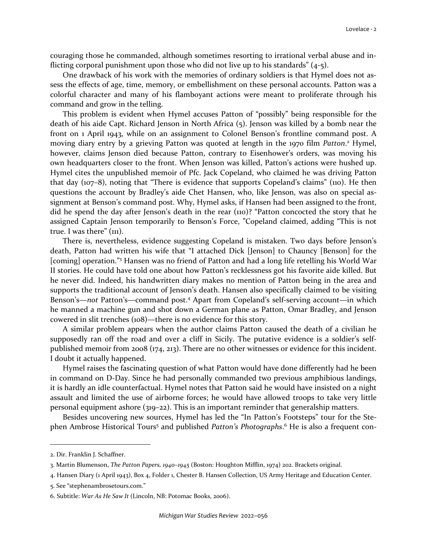couraging those he commanded, although sometimes resorting to irrational verbal abuse and inflicting corporal punishment upon those who did not live up to his standards" (4-5).

One drawback of his work with the memories of ordinary soldiers is that Hymel does not assess the effects of age, time, memory, or embellishment on these personal accounts. Patton was a colorful character and many of his flamboyant actions were meant to proliferate through his command and grow in the telling.

This problem is evident when Hymel accuses Patton of "possibly" being responsible for the death of his aide Capt. Richard Jenson in North Africa (5). Jenson was killed by a bomb near the front on 1 April 1943, while on an assignment to Colonel Benson's frontline command post. A moving diary entry by a grieving Patton was quoted at length in the 1970 film Patton.<sup>2</sup> Hymel, however, claims Jenson died because Patton, contrary to Eisenhower's orders, was moving his own headquarters closer to the front. When Jenson was killed, Patton's actions were hushed up. Hymel cites the unpublished memoir of Pfc. Jack Copeland, who claimed he was driving Patton that day (107–8), noting that "There is evidence that supports Copeland's claims" (110). He then questions the account by Bradley's aide Chet Hansen, who, like Jenson, was also on special assignment at Benson's command post. Why, Hymel asks, if Hansen had been assigned to the front, did he spend the day after Jenson's death in the rear (110)? "Patton concocted the story that he assigned Captain Jenson temporarily to Benson's Force, "Copeland claimed, adding "This is not true. I was there" (111).

There is, nevertheless, evidence suggesting Copeland is mistaken. Two days before Jenson's death, Patton had written his wife that "I attached Dick [Jenson] to Chauncy [Benson] for the [coming] operation."<sup>3</sup> Hansen was no friend of Patton and had a long life retelling his World War II stories. He could have told one about how Patton's recklessness got his favorite aide killed. But he never did. Indeed, his handwritten diary makes no mention of Patton being in the area and supports the traditional account of Jenson's death. Hansen also specifically claimed to be visiting Benson's—not Patton's—command post.<sup>4</sup> Apart from Copeland's self-serving account—in which he manned a machine gun and shot down a German plane as Patton, Omar Bradley, and Jenson cowered in slit trenches (108)—there is no evidence for this story.

A similar problem appears when the author claims Patton caused the death of a civilian he supposedly ran off the road and over a cliff in Sicily. The putative evidence is a soldier's selfpublished memoir from 2008 (174, 213). There are no other witnesses or evidence for this incident. I doubt it actually happened.

Hymel raises the fascinating question of what Patton would have done differently had he been in command on D-Day. Since he had personally commanded two previous amphibious landings, it is hardly an idle counterfactual. Hymel notes that Patton said he would have insisted on a night assault and limited the use of airborne forces; he would have allowed troops to take very little personal equipment ashore (319–22). This is an important reminder that generalship matters.

Besides uncovering new sources, Hymel has led the "In Patton's Footsteps" tour for the Stephen Ambrose Historical Tours<sup>5</sup> and published *Patton's Photographs*.<sup>6</sup> He is also a frequent con-

<sup>2.</sup> Dir. Franklin J. Schaffner.

<sup>3.</sup> Martin Blumenson, *The Patton Papers, 1940–1945* (Boston: Houghton Mifflin, 1974) 202. Brackets original.

<sup>4.</sup> Hansen Diary (1 April 1943), Box 4, Folder 1, Chester B. Hansen Collection, US Army Heritage and Education Center.

<sup>5.</sup> See "stephenambrosetours.com."

<sup>6.</sup> Subtitle: *War As He Saw It* (Lincoln, NB: Potomac Books, 2006).